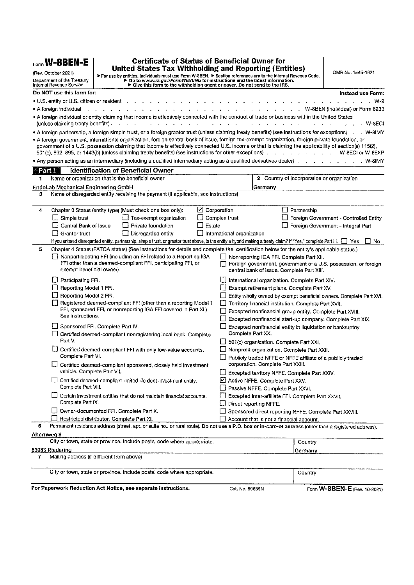|                      | Form W-8BEN-E                                          | <b>Certificate of Status of Beneficial Owner for</b><br>United States Tax Withholding and Reporting (Entities)                                                                                                                                                                                        |        |                              |                                   |                                                                                                            |                                                                     |
|----------------------|--------------------------------------------------------|-------------------------------------------------------------------------------------------------------------------------------------------------------------------------------------------------------------------------------------------------------------------------------------------------------|--------|------------------------------|-----------------------------------|------------------------------------------------------------------------------------------------------------|---------------------------------------------------------------------|
| (Rev. October 2021)  | Department of the Treasury<br>Internal Revenue Service | For use by entities. Individuals must use Form W-8BEN. For eferences are to the Internal Revenue Code.<br>For to www.irs.gov/FormW8BENE for instructions and the latest information.<br>For this form to the withholding agent or pa                                                                  |        |                              |                                   |                                                                                                            | OMB No. 1545-1621                                                   |
|                      | Do NOT use this form for:                              |                                                                                                                                                                                                                                                                                                       |        |                              |                                   |                                                                                                            | Instead use Form:                                                   |
|                      | . U.S. entity or U.S. citizen or resident .            |                                                                                                                                                                                                                                                                                                       |        |                              |                                   |                                                                                                            | $W-9$                                                               |
|                      | • A foreign individual                                 |                                                                                                                                                                                                                                                                                                       |        |                              |                                   |                                                                                                            | . W-8BEN (Individual) or Form 8233                                  |
|                      | (unless claiming treaty benefits).                     | . A foreign individual or entity claiming that income is effectively connected with the conduct of trade or business within the United States                                                                                                                                                         |        |                              |                                   |                                                                                                            | W-8ECI                                                              |
|                      |                                                        | • A foreign partnership, a foreign simple trust, or a foreign grantor trust (unless claiming treaty benefits) (see instructions for exceptions)<br>• A foreign government, international organization, foreign central bank of issue, foreign tax-exempt organization, foreign private foundation, or |        |                              |                                   |                                                                                                            | $W$ 8IMY                                                            |
|                      |                                                        | government of a U.S. possession claiming that income is effectively connected U.S. income or that is claiming the applicability of section(s) 115(2),<br>501(c), 892, 895, or 1443(b) (unless claiming treaty benefits) (see instructions for other exceptions).                                      |        |                              |                                   | $\mathbf{r}$ and $\mathbf{r}$ and $\mathbf{r}$ and $\mathbf{r}$ and $\mathbf{r}$                           | W-8ECI or W-8EXP                                                    |
|                      |                                                        | . Any person acting as an intermediary (including a qualified intermediary acting as a qualified derivatives dealer) W-8IMY                                                                                                                                                                           |        |                              |                                   |                                                                                                            |                                                                     |
| Part I               |                                                        | <b>Identification of Beneficial Owner</b>                                                                                                                                                                                                                                                             |        |                              |                                   |                                                                                                            |                                                                     |
| 1                    |                                                        | Name of organization that is the beneficial owner                                                                                                                                                                                                                                                     |        |                              |                                   | 2 Country of incorporation or organization                                                                 |                                                                     |
|                      | EndoLab Mechanical Engineering GmbH                    |                                                                                                                                                                                                                                                                                                       |        |                              | Germany                           |                                                                                                            |                                                                     |
| з                    |                                                        | Name of disregarded entity receiving the payment (if applicable, see instructions)                                                                                                                                                                                                                    |        |                              |                                   |                                                                                                            |                                                                     |
| 4                    |                                                        | Chapter 3 Status (entity type) (Must check one box only):                                                                                                                                                                                                                                             |        | $\triangleright$ Corporation |                                   | Partnership                                                                                                |                                                                     |
|                      | Simple trust                                           | Tax-exempt organization                                                                                                                                                                                                                                                                               |        | Complex trust                |                                   |                                                                                                            | Foreign Government - Controlled Entity                              |
|                      | Central Bank of Issue                                  | Private foundation                                                                                                                                                                                                                                                                                    | Estate |                              |                                   |                                                                                                            | Foreign Government - Integral Part                                  |
|                      | Grantor trust                                          | Disregarded entity                                                                                                                                                                                                                                                                                    |        | International organization   |                                   |                                                                                                            |                                                                     |
|                      |                                                        | If you entered disregarded entity, partnership, simple trust, or grantor trust above, is the entity a hybrid making a treaty claim? If "Yes," complete Part III. Yes                                                                                                                                  |        |                              |                                   |                                                                                                            | No.                                                                 |
| 5                    |                                                        | Chapter 4 Status (FATCA status) (See instructions for details and complete the certification below for the entity's applicable status.)                                                                                                                                                               |        |                              |                                   |                                                                                                            |                                                                     |
|                      | exempt beneficial owner).                              | Nonparticipating FFI (including an FFI related to a Reporting IGA<br>FFI other than a deemed-compliant FFI, participating FFI, or                                                                                                                                                                     |        |                              |                                   | Nonreporting IGA FFI. Complete Part XII.<br>central bank of issue. Complete Part XIII.                     | Foreign government, government of a U.S. possession, or foreign     |
|                      | Participating FFI.                                     |                                                                                                                                                                                                                                                                                                       |        |                              |                                   | International organization. Complete Part XIV,                                                             |                                                                     |
|                      | Reporting Model 1 FFI.                                 |                                                                                                                                                                                                                                                                                                       |        |                              |                                   | Exempt retirement plans. Complete Part XV.                                                                 |                                                                     |
|                      | Reporting Model 2 FFI.                                 |                                                                                                                                                                                                                                                                                                       |        |                              |                                   |                                                                                                            | Entity wholly owned by exempt beneficial owners. Complete Part XVI. |
|                      |                                                        | Registered deemed-compliant FFI (other than a reporting Model 1                                                                                                                                                                                                                                       |        |                              |                                   | Territory financial institution. Complete Part XVII.                                                       |                                                                     |
|                      |                                                        | FFI, sponsored FFI, or nonreporting IGA FFI covered in Part XII).                                                                                                                                                                                                                                     |        |                              |                                   | Excepted nonfinancial group entity. Complete Part XVIII.                                                   |                                                                     |
|                      | See instructions.                                      |                                                                                                                                                                                                                                                                                                       |        |                              |                                   | Excepted nonfinancial start-up company. Complete Part XIX.                                                 |                                                                     |
|                      | Sponsored FFI. Complete Part IV.                       |                                                                                                                                                                                                                                                                                                       |        |                              |                                   | Excepted nonfinancial entity in liquidation or bankruptcy.                                                 |                                                                     |
|                      | Part V.                                                | Certified deemed-compliant nonregistering local bank. Complete                                                                                                                                                                                                                                        |        |                              | Complete Part XX.                 | 501(c) organization. Complete Part XXI.                                                                    |                                                                     |
|                      | Complete Part VI.                                      | Certified deemed-compliant FFI with only low-value accounts.                                                                                                                                                                                                                                          |        |                              |                                   | Nonprofit organization. Complete Part XXII.<br>Publicly traded NFFE or NFFE affiliate of a publicly traded |                                                                     |
|                      | vehicle. Complete Part VII.                            | <b>D</b> Certified deemed-compliant sponsored, closely held investment                                                                                                                                                                                                                                |        |                              | corporation. Complete Part XXIII. |                                                                                                            |                                                                     |
|                      |                                                        | L_I Certified deemed-compliant limited life debt investment entity.                                                                                                                                                                                                                                   |        |                              | Active NFFE. Complete Part XXV.   | Excepted territory NFFE. Complete Part XXIV.                                                               |                                                                     |
|                      | Complete Part VIII.                                    |                                                                                                                                                                                                                                                                                                       |        |                              |                                   | Passive NFFE. Complete Part XXVI.                                                                          |                                                                     |
|                      | Complete Part IX.                                      | $\Box$ Certain investment entities that do not maintain financial accounts.                                                                                                                                                                                                                           |        |                              | Direct reporting NFFE.            | Excepted inter-affiliate FFI. Complete Part XXVII.                                                         |                                                                     |
|                      | Owner-documented FFI. Complete Part X.                 |                                                                                                                                                                                                                                                                                                       |        |                              |                                   | Sponsored direct reporting NFFE. Complete Part XXVIII.                                                     |                                                                     |
|                      | Restricted distributor. Complete Part XI.              |                                                                                                                                                                                                                                                                                                       |        |                              |                                   | Account that is not a financial account.                                                                   |                                                                     |
| 6                    |                                                        | Permanent residence address (street, apt. or suite no., or rural route). Do not use a P.O. box or in-care-of address (other than a registered address).                                                                                                                                               |        |                              |                                   |                                                                                                            |                                                                     |
| Ahornweg 8           |                                                        |                                                                                                                                                                                                                                                                                                       |        |                              |                                   |                                                                                                            |                                                                     |
|                      |                                                        | City or town, state or province. Include postal code where appropriate.                                                                                                                                                                                                                               |        |                              |                                   | Country                                                                                                    |                                                                     |
| 83083 Riedering<br>7 | Mailing address (if different from above)              |                                                                                                                                                                                                                                                                                                       |        |                              |                                   | Germany                                                                                                    |                                                                     |
|                      |                                                        |                                                                                                                                                                                                                                                                                                       |        |                              |                                   |                                                                                                            |                                                                     |
|                      |                                                        | City or town, state or province. Include postal code where appropriate.                                                                                                                                                                                                                               |        |                              |                                   | Country                                                                                                    |                                                                     |
|                      |                                                        | For Paperwork Reduction Act Notice, see separate instructions.                                                                                                                                                                                                                                        |        |                              | Cat. No. 59689N                   |                                                                                                            | Form <b>W-8BEN-E</b> (Rev. 10-2021)                                 |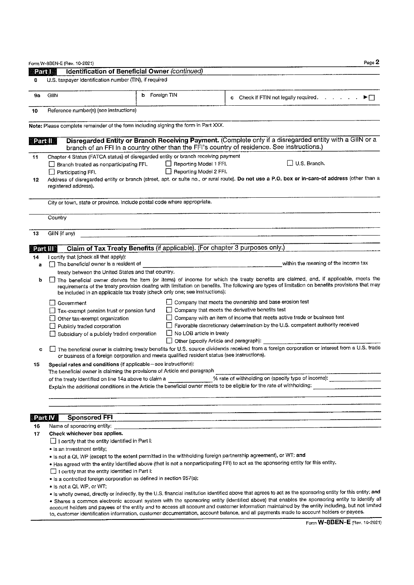|                | Form W-8BEN-E (Rev. 10-2021)                                                                                                                                                                                                                                                                                                                                          |                                               |  |                                                                                                                                                                                                        | Page 2                                                                  |  |  |
|----------------|-----------------------------------------------------------------------------------------------------------------------------------------------------------------------------------------------------------------------------------------------------------------------------------------------------------------------------------------------------------------------|-----------------------------------------------|--|--------------------------------------------------------------------------------------------------------------------------------------------------------------------------------------------------------|-------------------------------------------------------------------------|--|--|
| Part           | Identification of Beneficial Owner (continued)                                                                                                                                                                                                                                                                                                                        |                                               |  |                                                                                                                                                                                                        |                                                                         |  |  |
| 8              | U.S. taxpayer identification number (TIN), if required                                                                                                                                                                                                                                                                                                                |                                               |  |                                                                                                                                                                                                        |                                                                         |  |  |
| 9а             | GIIN                                                                                                                                                                                                                                                                                                                                                                  | <b>b</b> Foreign TIN                          |  | c Check if $FTIN$ not legally required. $\ldots$ $\ldots$                                                                                                                                              | ►⊓                                                                      |  |  |
| 10             | Reference number(s) (see instructions)                                                                                                                                                                                                                                                                                                                                |                                               |  |                                                                                                                                                                                                        |                                                                         |  |  |
|                | Note: Please complete remainder of the form including signing the form in Part XXX.                                                                                                                                                                                                                                                                                   |                                               |  |                                                                                                                                                                                                        |                                                                         |  |  |
| <b>Part II</b> |                                                                                                                                                                                                                                                                                                                                                                       |                                               |  | Disregarded Entity or Branch Receiving Payment. (Complete only if a disregarded entity with a GIIN or a<br>branch of an FFI in a country other than the FFI's country of residence. See instructions.) |                                                                         |  |  |
| 11             | Chapter 4 Status (FATCA status) of disregarded entity or branch receiving payment                                                                                                                                                                                                                                                                                     |                                               |  |                                                                                                                                                                                                        |                                                                         |  |  |
|                | Branch treated as nonparticipating FFI.                                                                                                                                                                                                                                                                                                                               | Reporting Model 1 FFI.                        |  |                                                                                                                                                                                                        | $\Box$ U.S. Branch.                                                     |  |  |
|                | Participating FFI.                                                                                                                                                                                                                                                                                                                                                    | Reporting Model 2 FFI.                        |  |                                                                                                                                                                                                        |                                                                         |  |  |
| 12             | Address of disregarded entity or branch (street, apt. or suite no., or rural route). Do not use a P.O. box or in-care-of address (other than a<br>registered address).                                                                                                                                                                                                |                                               |  |                                                                                                                                                                                                        |                                                                         |  |  |
|                | City or town, state or province. Include postal code where appropriate.                                                                                                                                                                                                                                                                                               |                                               |  |                                                                                                                                                                                                        |                                                                         |  |  |
|                | Country                                                                                                                                                                                                                                                                                                                                                               |                                               |  |                                                                                                                                                                                                        |                                                                         |  |  |
| 13             | GIIN (if any)                                                                                                                                                                                                                                                                                                                                                         |                                               |  |                                                                                                                                                                                                        |                                                                         |  |  |
|                | Claim of Tax Treaty Benefits (if applicable). (For chapter 3 purposes only.)                                                                                                                                                                                                                                                                                          |                                               |  |                                                                                                                                                                                                        |                                                                         |  |  |
|                | Part III                                                                                                                                                                                                                                                                                                                                                              |                                               |  |                                                                                                                                                                                                        |                                                                         |  |  |
| 14             | I certify that (check all that apply):<br>The beneficial owner is a resident of                                                                                                                                                                                                                                                                                       |                                               |  |                                                                                                                                                                                                        | within the meaning of the income tax                                    |  |  |
| a              | treaty between the United States and that country.                                                                                                                                                                                                                                                                                                                    |                                               |  |                                                                                                                                                                                                        |                                                                         |  |  |
| ь              | The beneficial owner derives the item (or items) of income for which the treaty benefits are claimed, and, if applicable, meets the<br>requirements of the treaty provision dealing with limitation on benefits. The following are types of limitation on benefits provisions that may<br>be included in an applicable tax treaty (check only one; see instructions): |                                               |  |                                                                                                                                                                                                        |                                                                         |  |  |
|                | Government                                                                                                                                                                                                                                                                                                                                                            |                                               |  | $\Box$ Company that meets the ownership and base erosion test                                                                                                                                          |                                                                         |  |  |
|                | Tax-exempt pension trust or pension fund                                                                                                                                                                                                                                                                                                                              |                                               |  | Company that meets the derivative benefits test                                                                                                                                                        |                                                                         |  |  |
|                | Other tax-exempt organization                                                                                                                                                                                                                                                                                                                                         |                                               |  | Company with an item of income that meets active trade or business test                                                                                                                                |                                                                         |  |  |
|                | Publicly traded corporation                                                                                                                                                                                                                                                                                                                                           |                                               |  | Favorable discretionary determination by the U.S. competent authority received                                                                                                                         |                                                                         |  |  |
|                | Subsidiary of a publicly traded corporation                                                                                                                                                                                                                                                                                                                           | No LOB article in treaty<br>l I               |  |                                                                                                                                                                                                        |                                                                         |  |  |
|                |                                                                                                                                                                                                                                                                                                                                                                       | $\Box$ Other (specify Article and paragraph): |  |                                                                                                                                                                                                        |                                                                         |  |  |
| с              | The beneficial owner is claiming treaty benefits for U.S. source dividends received from a foreign corporation or interest from a U.S. trade<br>or business of a foreign corporation and meets qualified resident status (see instructions).                                                                                                                          |                                               |  |                                                                                                                                                                                                        |                                                                         |  |  |
| 15             | Special rates and conditions (if applicable-see instructions):                                                                                                                                                                                                                                                                                                        |                                               |  |                                                                                                                                                                                                        |                                                                         |  |  |
|                | The beneficial owner is claiming the provisions of Article and paragraph                                                                                                                                                                                                                                                                                              |                                               |  |                                                                                                                                                                                                        |                                                                         |  |  |
|                | of the treaty identified on line 14a above to claim a 2000 to the set of withholding on (specify type of income):<br>Explain the additional conditions in the Article the beneficial owner meets to be eligible for the rate of withholding:                                                                                                                          |                                               |  |                                                                                                                                                                                                        |                                                                         |  |  |
|                |                                                                                                                                                                                                                                                                                                                                                                       |                                               |  |                                                                                                                                                                                                        |                                                                         |  |  |
|                | <b>Sponsored FFI</b><br>Part IV                                                                                                                                                                                                                                                                                                                                       |                                               |  |                                                                                                                                                                                                        |                                                                         |  |  |
| 16             | Name of sponsoring entity:                                                                                                                                                                                                                                                                                                                                            |                                               |  |                                                                                                                                                                                                        |                                                                         |  |  |
| 17             | Check whichever box applies.                                                                                                                                                                                                                                                                                                                                          |                                               |  |                                                                                                                                                                                                        |                                                                         |  |  |
|                | $\Box$ I certify that the entity identified in Part I:                                                                                                                                                                                                                                                                                                                |                                               |  |                                                                                                                                                                                                        |                                                                         |  |  |
|                | · Is an investment entity;                                                                                                                                                                                                                                                                                                                                            |                                               |  |                                                                                                                                                                                                        |                                                                         |  |  |
|                | . Is not a QI, WP (except to the extent permitted in the withholding foreign partnership agreement), or WT; and                                                                                                                                                                                                                                                       |                                               |  |                                                                                                                                                                                                        |                                                                         |  |  |
|                | . Has agreed with the entity identified above (that is not a nonparticipating FFI) to act as the sponsoring entity for this entity.                                                                                                                                                                                                                                   |                                               |  |                                                                                                                                                                                                        |                                                                         |  |  |
|                | $\Box$ I certify that the entity identified in Part I:                                                                                                                                                                                                                                                                                                                |                                               |  |                                                                                                                                                                                                        |                                                                         |  |  |
|                | • Is a controlled foreign corporation as defined in section 957(a);                                                                                                                                                                                                                                                                                                   |                                               |  |                                                                                                                                                                                                        |                                                                         |  |  |
|                | $\bullet$ is not a QI, WP, or WT;<br>. Is wholly owned, directly or indirectly, by the U.S. financial institution identified above that agrees to act as the sponsoring entity for this entity; and                                                                                                                                                                   |                                               |  |                                                                                                                                                                                                        |                                                                         |  |  |
|                |                                                                                                                                                                                                                                                                                                                                                                       |                                               |  |                                                                                                                                                                                                        | ing the contract that constitue the experimental entitle to idontifical |  |  |

• Shares a common electronic account system with the sponsoring entity (identified above) that enables the sponsoring entity to identify all account holders and payees of the entity and to access all account and customer information maintained by the entity including, but not limited to, customer identification information, customer documentation, account balance, and all payments made to account holders or payees.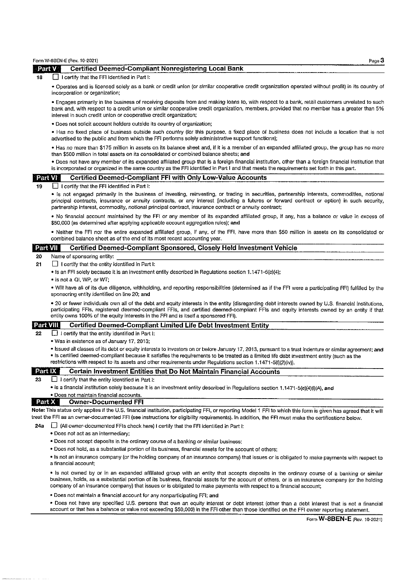| Form W-8BEN-E (Rev. 10-2021) |                                                                                                                                                                                      |  |
|------------------------------|--------------------------------------------------------------------------------------------------------------------------------------------------------------------------------------|--|
| $ $ Part V                   | <b>Certified Deemed-Compliant Nonregistering Local Bank</b>                                                                                                                          |  |
| 18                           | I certify that the FFI identified in Part I:                                                                                                                                         |  |
|                              | • Operates and is licensed solely as a bank or credit union (or similar cooperative credit organization operated without profit) in its country of<br>incorporation or organization; |  |

• Engages primarily in the business of receiving deposits from and making loans to, with respect to a bank, retail customers unrelated to such bank and, with respect to a credit union or similar cooperative credit organization, members, provided that no member has a greater than 5% interest in such credit union or cooperative credit organization;

• Does not solicit account holders outside its country of organization;

• Has no fixed place of business outside such country (for this purpose, a fixed place of business does not include a location that is not advertised to the public and from which the FFI performs solely administrative support functions);

• Has no more than \$175 million in assets on its balance sheet and, if it is a member of an expanded affiliated group, the group has no more than \$500 million in total assets on its consolidated or combined balance sheets; and

• Does not have any member of its expanded affiliated group that is a foreign financial institution, other than a foreign financial institution that is incorporated or organized in the same country as the FFI identified in Part I and that meets the requirements set forth in this part.

#### **I\$MI Certified Deemed-Compliant FFI with Only Low-Value Accounts**

19  $\Box$  I certify that the FFI identified in Part I:

• Is not engaged primarily in the business of investing, reinvesting, or trading in securities, partnership interests, commodities, notional principal contracts, insurance or annuity contracts, or any interest (including a futures or forward contract or option) in such security, partnership interest, commodity, notional principal contract, insurance contract or annuity contract;

• No financial account maintained by the FFI or any member of its expanded affiliated group, if any, has a balance or value in excess of \$50,000 (as determined after applying applicable account aggregation rules); and

• Neither the FFI nor the entire expanded affiliated group, if any, of the FFI, have more than \$50 million in assets on its consolidated or

# **combined banance Sheet as Occurred-Compliant Sponsored, Closely Held Investment Vehicle**<br>20 Name of sponsoring entity:

Name of sponsoring entity:

- 21  $\Box$  I certify that the entity identified in Part I:
	- Is an FFI solely because it is an investment entity described in Regulations section 1.1471-5(e)(4);
	- Is not a 01, WP, or WT;

• Will have all of its due diligence, withholding, and reporting responsibilities (determined as if the FFI were a participating FFI)fulfilled by the sponsoring entity identified on line 20; and

• 20 or fewer individuals own all of the debt and equity interests in the entity (disregarding debt interests owned by U.S. financial institutions, participating FFIs, registered deemed-compliant FFIs, and certified deemed-compliant FFIs and equity interests owned by an entity if that<br>entity owns 100% of the equity interests in the FFI and is itself a sponsored FFI).

# **Part VIII** Certified Deemed-Compliant Limited Life Debt Investment Entity<br>22 \[ ] l certify that the entity identified in Part **I**:

- $\Box$  I certify that the entity identified in Part I:
	- Was in existence as of January 17, 2013;

• Issued all classes of its debt or equity interests to investors on or before January 17, 2013, pursuant to a trust indenture or similar agreement; and • Is certified deemed-compliant because it satisfies the requirements to be treated as a limited life debt investment entity (such as the restrictions with respect to its assets and other requirements under Regulations section 1.1471-5(f)(2)(iv)).

### **1\$1&1 Certain Investment Entities that Do Not Maintain Financial Accounts**

23  $\Box$  I certify that the entity identified in Part I:

• Is a financial institution solely because it is an investment entity described in Regulations section 1.1471-5(e)(4)(i)(A),and

# • Does not maintain financial accounts. **'\$D Owner-Documented FFI**

Note: This status only applies if the U.S. financial institution, participating FFI, or reporting Model 1 FFI to which this form is given has agreed that it will treat the FFI as an owner-documented FFI (see instructions for eligibility requirements). In addition, the FFI must make the certifications below.

 $\Box$  (All owner-documented FFIs check here) I certify that the FFI identified in Part I:

- Does not act as an intermediary;
- Does not accept deposits in the ordinary course of a banking or similar business;

• Does not hold, as a substantial portion of its business, financial assets for the account of others;

• Is not an insurance company (or the holding company of an insurance company) that issues or is obligated to make payments with respect to a financial account;

• Is not owned by or in an expanded affiliated group with an entity that accepts deposits in the ordinary course of a banking or similar business, holds, as a substantial portion of its business, financial assets for the account of others, or is an insurance company (or the holding company of an insurance company) that issues or is obligated to make payments with respect to a financial account;

• Does not maintain a financial account for any nonparticipating FFI; and

• Does not have any specified U.S. persons that own an equity interest or debt interest (other than a debt interest that is not a financial account or that has a balance or value not exceeding \$50,000) in the FFI other than those identified on the FFI owner reporting statement.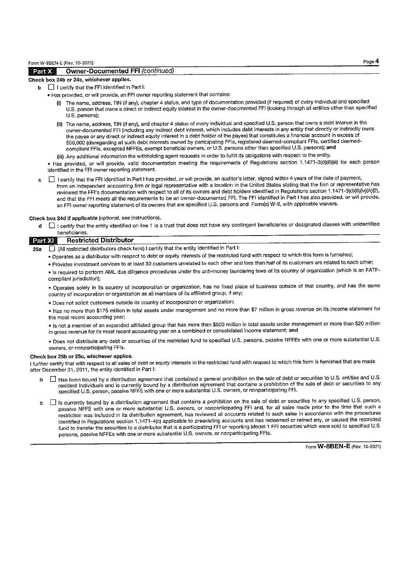#### FormW-SBEN-E (Rev.10-2021) Page4

### **attiE'** Owner-Documented **FFI** *(continued)*

#### Check box 24b or 24c, whichever applies.

 $\mathbf{b}$   $\Box$  I certify that the FFI identified in Part I:

- Has provided, or will provide, an FFI owner reporting statement that contains:
	- (i) The name, address, TIN (if any), chapter 4 status, and type of documentation provided (if required) of every individual and specified U.S. person that owns a direct or indirect equity interest in the owner-documented FFI (looking through all entities other than specified U.S. persons);
	- (ii) The name, address, TIN (if any), and chapter 4 status of every individual and specified U.S. person that owns a debt interest in the owner-documented FFI (including any indirect debt interest, which includes debt interests in any entity that directly or indirectly owns the payee or any direct or indirect equity interest in a debt holder of the payee) that constitutes a financial account in excess of \$50,000 (disregarding all such debt interests owned by participating FFls, registered deemed-compliant FFls, certified deemedcompliant FFls, excepted NFFEs, exempt beneficial owners, or U.S. persons other than specified U.S. persons); and
	- (iii) Any additional information the withholding agent requests in order to fulfill its obligations with respect to the entity.

• Has provided, or will provide, valid documentation meeting the requirements of Regulations section 1.1471-3(d)(6)(iii) for each person identified in the FFI owner reporting statement.

c  $\Box$  I certify that the FFI identified in Part I has provided, or will provide, an auditor's letter, signed within 4 years of the date of payment, from an independent accounting firm or legal representative with a location in the United States stating that the firm or representative has reviewed the FFl's documentation with respect to all of its owners and debt holders identified in Regulations section 1.1471-3(d)(6)(iv)(A)(2), and that the FFI meets all the requirements to be an owner-documented FFI. The FFI identified in Part I has also provided, or will provide, an FFI owner reporting statement of its owners that are specified U.S. persons and Form(s) W-9, with applicable waivers.

### Check box 24d if applicable (optional, see instructions).

d  $\Box$  I certify that the entity identified on line 1 is a trust that does not have any contingent beneficiaries or designated classes with unidentified beneficiaries.

| Part XI |                                                                                                                |
|---------|----------------------------------------------------------------------------------------------------------------|
|         | <b>Restricted Distributor</b><br>----------                                                                    |
|         |                                                                                                                |
|         | n martin and a common contract of the common and the common and the common and the common and the common and t |

25a  $\square$  (All restricted distributors check here) I certify that the entity identified in Part I:

- Operates as a distributor with respect to debt or equity interests of the restricted fund with respect to which this form is furnished;
- Provides investment services to at least 30 customers unrelated to each other and less than half of its customers are related to each other; • Is required to perform AML due diligence procedures under the anti-money laundering laws of its country of organization (which is an FATFcompliant jurisdiction);
- Operates solely in its country of incorporation or organization, has no fixed place of business outside of that country, and has the same country of incorporation or organization as all members of its affiliated group, if any;
- Does not solicit customers outside its country of incorporation or organization;
- Has no more than \$175 million in total assets under management and no more than \$7 million in gross revenue on its income statement for the most recent accounting year;
- Is not a member of an expanded affiliated group that has more than \$500 million in total assets under management or more than \$20 million in gross revenue for its most recent accounting year on a combined or consolidated income statement; and

• Does not distribute any debt or securities of the restricted fund to specified U.S. persons, passive NFFEs with one or more substantial U.S. owners, or nonparticipating FFls.

#### Check box 25b or 25c, whichever applies.

I further certify that with respect to all sales of debt or equity interests in the restricted fund with respect to which this form is furnished that are made after December 31,2011, the entity identified in Part I:

- b  $\Box$  Has been bound by a distribution agreement that contained a general prohibition on the sale of debt or securities to U.S. entities and U.S. resident individuals and is currently bound by a distribution agreement that contains a prohibition of the sale of debt or securities to any specified U.S. person, passive NFFE with one or more substantial U.S. owners, or nonparticipating FFI.
- $c \Box$  Is currently bound by a distribution agreement that contains a prohibition on the sale of debt or securities to any specified U.S. person, passive NFFE with one or more substantial U.S. owners, or nonparticipating FFI and, for all sales made prior to the time that such a restriction was included in its distribution agreement, has reviewed all accounts related to such sales in accordance with the procedures identified in Regulations section 1.1471-4(c) applicable to preexisting accounts and has redeemed or retired any, or caused the restricted fund to transfer the securities to a distributor that is a participating FFI or reporting Model 1 FFI securities which were sold to specified U.S. persons, passive NFFEs with one or more substantial U.S. owners, or nonparticipating FFls.

FormW-8BEN-E (Rev.10-2021)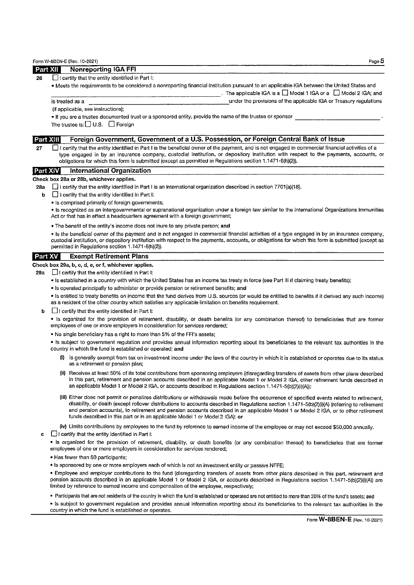### **Part XIII Nonreporting IGA FFI**

26  $\Box$  I certify that the entity identified in Part I:

• Meets the requirements to be considered a nonreporting financial institution pursuant to an applicable IGA between the United States and The applicable IGA is a  $\Box$  Model 1 IGA or a  $\Box$  Model 2 IGA; and

is treated as a under the provisions of the applicable IGA or Treasury regulations

(if applicable, see instructions);

| If you are a trustee documented trust or a sponsored entity, provide the name of the trustee or sponsor • |  |
|-----------------------------------------------------------------------------------------------------------|--|
|                                                                                                           |  |

The trustee is: L J U.S. D L Foreign

#### **Part XIII** Foreign Government, Government of a U.S. Possession, or Foreign Central Bank of Issue

1 certify that the entity identified in Part I is the beneficial owner of the payment, and is not engaged in commercial financial activities of a type engaged in by an insurance company, custodial institution, or depository institution with respect to the payments, accounts, or obligations for which this form is submitted (except as permitted in Regulations section 1.1471-6(h)(2)).

# **Part XIV** International Organization

Check box 28a or 28b, whichever applies.

- 28a  $\Box$  I certify that the entity identified in Part I is an international organization described in section 7701(a)(18).
	- $\mathbf{b}$   $\Box$  I certify that the entity identified in Part I:
		- Is comprised primarily of foreign governments;

• Is recognized as an intergovernmental or supranational organization under a foreign law similar to the International Organizations Immunities Act or that has in effect a headquarters agreement with a foreign government;

• The benefit of the entity's income does not inure to any private person; and

• Is the beneficial owner of the payment and is not engaged in commercial financial activities of a type engaged in by an insurance company, custodial institution, or depository institution with respect to the payments, accounts, or obligations for which this form is submitted (except as permitted in Regulations section 1.1471-6(h)(2)).

#### **lies Part XV Exempt Retirement Plans**

Check box 29a, b, c, d, e, or *t,* whichever applies.

- 29a  $\Box$  I certify that the entity identified in Part I:
	- Is established in a country with which the United States has an income tax treaty in force (see Part III if claiming treaty benefits);
	- Is operated principally to administer or provide pension or retirement benefits; and

• Is entitled to treaty benefits on income that the fund derives from U.S. sources (or would be entitled to benefits if it derived any such income) as a resident of the other country which satisfies any applicable limitation on benefits requirement.

 **DI certify that the entity identified in Part I:** 

• Is organized for the provision of retirement, disability, or death benefits (or any combination thereof) to beneficiaries that are former employees of one or more employers in consideration for services rendered;

• No single beneficiary has a right to more than 5% of the FFI's assets;

• Is subject to government regulation and provides annual information reporting about its beneficiaries to the relevant tax authorities in the country in which the fund is established or operated; and

- (i) Is generally exempt from tax on investment income under the laws of the country in which it is established or operates due to its status as a retirement or pension plan;
- (ii) Receives at least 50% of its total contributions from sponsoring employers (disregarding transfers of assets from other plans described in this part, retirement and pension accounts described in an applicable Model 1 or Model 2 IGA, other retirement funds described in an applicable Model 1 or Model 2 IGA, or accounts described in Regulations section 1.1471-5(b)(2)(i)(A));
- (iii) Either does not permit or penalizes distributions or withdrawals made before the occurrence of specified events related to retirement, disability, or death (except rollover distributions to accounts described in Regulations section 1.1471-5(b)(2)(i)(A) (referring to retirement and pension accounts), to retirement and pension accounts described in an applicable Model 1 or Model 2 IGA, or to other retirement funds described in this part or in an applicable Model 1 or Model 2 IGA); or

(iv) Limits contributions by employees to the fund by reference to earned income of the employee or may not exceed \$50,000 annually.

 $\mathbf{c}$   $\Box$  I certify that the entity identified in Part I:

• Is organized for the provision of retirement, disability, or death benefits (or any combination thereof) to beneficiaries that are former employees of one or more employers in consideration for services rendered;

- Has fewer than 50 participants;
- Is sponsored by one or more employers each of which is not an investment entity or passive NFFE;

• Employee and employer contributions to the fund (disregarding transfers of assets from other plans described in this part, retirement and pension accounts described in an applicable Model 1 or Model 2 IGA, or accounts described in Regulations section 1.1471-5(b)(2)(i)(A)) are limited by reference to earned income and compensation of the employee, respectively;

• Participants that are not residents of the country in which the fund is established or operated are not entitled to more than 20% of the fund's assets; and

• Is subject to government regulation and provides annual information reporting about its beneficiaries to the relevant tax authorities in the country in which the fund is established or operates.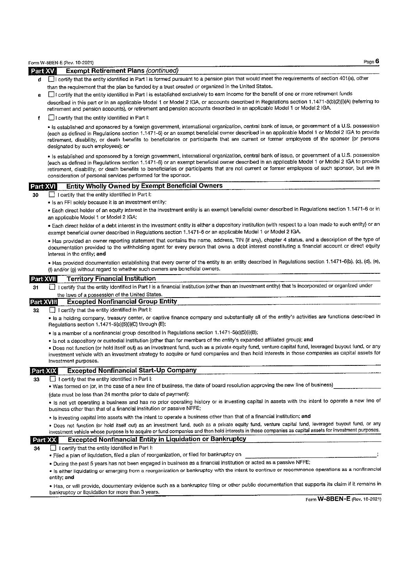|                  | Form W-8BEN-E (Rev. 10-2021)                                                                                                                                                                                                                                                                                                                                                                                                                                                                                      | Page 6 |
|------------------|-------------------------------------------------------------------------------------------------------------------------------------------------------------------------------------------------------------------------------------------------------------------------------------------------------------------------------------------------------------------------------------------------------------------------------------------------------------------------------------------------------------------|--------|
| <b>Part XV</b>   | <b>Exempt Retirement Plans (continued)</b>                                                                                                                                                                                                                                                                                                                                                                                                                                                                        |        |
| d                | certify that the entity identified in Part I is formed pursuant to a pension plan that would meet the requirements of section 401(a), other                                                                                                                                                                                                                                                                                                                                                                       |        |
|                  | than the requirement that the plan be funded by a trust created or organized in the United States.                                                                                                                                                                                                                                                                                                                                                                                                                |        |
| e                | I certify that the entity identified in Part I is established exclusively to earn income for the benefit of one or more retirement funds                                                                                                                                                                                                                                                                                                                                                                          |        |
|                  | described in this part or in an applicable Model 1 or Model 2 IGA, or accounts described in Regulations section 1.1471-5(b)(2)(i)(A) (referring to<br>retirement and pension accounts), or retirement and pension accounts described in an applicable Model 1 or Model 2 IGA.                                                                                                                                                                                                                                     |        |
| f                | $\Box$ certify that the entity identified in Part I:                                                                                                                                                                                                                                                                                                                                                                                                                                                              |        |
|                  | · Is established and sponsored by a foreign government, international organization, central bank of issue, or government of a U.S. possession<br>(each as defined in Regulations section 1.1471-6) or an exempt beneficial owner described in an applicable Model 1 or Model 2 IGA to provide<br>retirement, disability, or death benefits to beneficiaries or participants that are current or former employees of the sponsor (or persons<br>designated by such employees); or                                  |        |
|                  | · Is established and sponsored by a foreign government, international organization, central bank of issue, or government of a U.S. possession<br>(each as defined in Regulations section 1.1471-6) or an exempt beneficial owner described in an applicable Model 1 or Model 2 IGA to provide<br>retirement, disability, or death benefits to beneficiaries or participants that are not current or former employees of such sponsor, but are in<br>consideration of personal services performed for the sponsor. |        |
| Part XVI         | <b>Entity Wholly Owned by Exempt Beneficial Owners</b>                                                                                                                                                                                                                                                                                                                                                                                                                                                            |        |
| 30               | I certify that the entity identified in Part I:                                                                                                                                                                                                                                                                                                                                                                                                                                                                   |        |
|                  | . Is an FFI solely because it is an investment entity;                                                                                                                                                                                                                                                                                                                                                                                                                                                            |        |
|                  | . Each direct holder of an equity interest in the investment entity is an exempt beneficial owner described in Regulations section 1.1471-6 or in<br>an applicable Model 1 or Model 2 IGA;                                                                                                                                                                                                                                                                                                                        |        |
|                  | . Each direct holder of a debt interest in the investment entity is either a depository institution (with respect to a loan made to such entity) or an<br>exempt beneficial owner described in Regulations section 1.1471-6 or an applicable Model 1 or Model 2 IGA.                                                                                                                                                                                                                                              |        |
|                  | . Has provided an owner reporting statement that contains the name, address, TIN (if any), chapter 4 status, and a description of the type of<br>documentation provided to the withholding agent for every person that owns a debt interest constituting a financial account or direct equity<br>interest in the entity; and                                                                                                                                                                                      |        |
|                  | . Has provided documentation establishing that every owner of the entity is an entity described in Regulations section 1.1471-6(b), (c), (d), (e),<br>(f) and/or (g) without regard to whether such owners are beneficial owners.                                                                                                                                                                                                                                                                                 |        |
| <b>Part XVII</b> | <b>Territory Financial Institution</b>                                                                                                                                                                                                                                                                                                                                                                                                                                                                            |        |
| 31               | I certify that the entity identified in Part I is a financial institution (other than an investment entity) that is incorporated or organized under                                                                                                                                                                                                                                                                                                                                                               |        |
| Part XVIII       | the laws of a possession of the United States.<br><b>Excepted Nonfinancial Group Entity</b>                                                                                                                                                                                                                                                                                                                                                                                                                       |        |
| 32               | $\Box$ I certify that the entity identified in Part I:                                                                                                                                                                                                                                                                                                                                                                                                                                                            |        |
|                  | · is a holding company, treasury center, or captive finance company and substantially all of the entity's activities are functions described in<br>Requlations section 1.1471-5(e)(5)(i)(C) through (E);                                                                                                                                                                                                                                                                                                          |        |
|                  | · Is a member of a nonfinancial group described in Regulations section 1.1471-5(e)(5)(i)(B);                                                                                                                                                                                                                                                                                                                                                                                                                      |        |
|                  | . Is not a depository or custodial institution (other than for members of the entity's expanded affiliated group); and<br>. Does not function (or hold itself out) as an investment fund, such as a private equity fund, venture capital fund, leveraged buyout fund, or any<br>investment vehicle with an investment strategy to acquire or fund companies and then hold interests in those companies as capital assets for<br>investment purposes.                                                              |        |
| <b>Part XIX</b>  | <b>Excepted Nonfinancial Start-Up Company</b>                                                                                                                                                                                                                                                                                                                                                                                                                                                                     |        |
| 33               | $\Box$ I certify that the entity identified in Part I:                                                                                                                                                                                                                                                                                                                                                                                                                                                            |        |
|                  | . Was formed on (or, in the case of a new line of business, the date of board resolution approving the new line of business)                                                                                                                                                                                                                                                                                                                                                                                      |        |
|                  | (date must be less than 24 months prior to date of payment);                                                                                                                                                                                                                                                                                                                                                                                                                                                      |        |
|                  | . Is not yet operating a business and has no prior operating history or is investing capital in assets with the intent to operate a new line of<br>business other than that of a financial institution or passive NFFE;                                                                                                                                                                                                                                                                                           |        |
|                  | . Is investing capital into assets with the intent to operate a business other than that of a financial institution; and                                                                                                                                                                                                                                                                                                                                                                                          |        |
|                  | · Does not function (or hold itself out) as an investment fund, such as a private equity fund, venture capital fund, leveraged buyout fund, or any<br>investment vehicle whose purpose is to acquire or fund companies and then hold interests in those companies as capital assets for investment purposes.                                                                                                                                                                                                      |        |
| Part XX          | <b>Excepted Nonfinancial Entity in Liquidation or Bankruptcy</b>                                                                                                                                                                                                                                                                                                                                                                                                                                                  |        |
| 34               | I certify that the entity identified in Part I:<br>. Filed a plan of liquidation, filed a plan of reorganization, or filed for bankruptcy on                                                                                                                                                                                                                                                                                                                                                                      |        |
|                  | . During the past 5 years has not been engaged in business as a financial institution or acted as a passive NFFE;                                                                                                                                                                                                                                                                                                                                                                                                 |        |
|                  | . Is either liquidating or emerging from a reorganization or bankruptcy with the intent to continue or recommence operations as a nonfinancial<br>entity; and                                                                                                                                                                                                                                                                                                                                                     |        |
|                  | . Has, or will provide, documentary evidence such as a bankruptcy filing or other public documentation that supports its claim if it remains in<br>bankruptcy or liquidation for more than 3 years.                                                                                                                                                                                                                                                                                                               |        |
|                  | Eggm $W-RBEN-E$ (Rev. 10-2021)                                                                                                                                                                                                                                                                                                                                                                                                                                                                                    |        |

Form **W-SBEN-E** (Rev. 10-2021)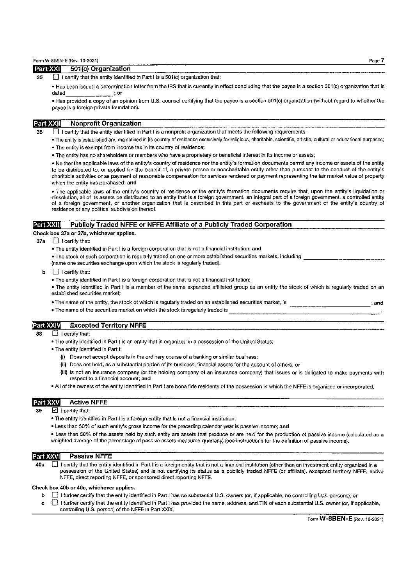#### FormW-8BEN-E (Rev.10-2021) Page7

#### **Part XXI** 501(c) Organization

 $35$   $\Box$  I certify that the entity identified in Part I is a 501(c) organization that:

• Has been issued a determination letter from the IRS that is currently in effect concluding that the payee is a section 501 (c) organization that is dated ; or

• Has provided a copy of an opinion from U.S. counsel certifying that the payee is a section 501 (c) organization (without regard to whether the payee is a foreign private foundation).

#### **Part XXII** Nonprofit Organization

36 **D** I certify that the entity identified in Part I is a nonprofit organization that meets the following requirements.

- The entity is established and maintained in its country of residence exclusively for religious, charitable, scientific, artistic, cultural or educational purposes; • The entity is exempt from income tax in its country of residence;
- The entity has no shareholders or members who have a proprietary or beneficial interest in its income or assets;

• Neither the applicable laws of the entity's country of residence nor the entity's formation documents permit any income or assets of the entity to be distributed to, or applied for the benefit of, a private person or noncharitable entity other than pursuant to the conduct of the entity's charitable activities or as payment of reasonable compensation for services rendered or payment representing the fair market value of property which the entity has purchased; and

• The applicable laws of the entity's country of residence or the entity's formation documents require that, upon the entity's liquidation or dissolution, all of its assets be distributed to an entity that is a foreign government, an integral part of a foreign government, a controlled entity of a foreign government, or another organization that is described in this part or escheats to the government of the entity's country of residence or any political subdivision thereof.

#### **Part XXIII** Publicly Traded NFFE or NFFE Affiliate of a Publicly Traded Corporation

#### Check box 37a or 37b, whichever applies.

37a □ I certify that:

• The entity identified in Part I is a foreign corporation that is not a financial institution; and

• The stock of such corporation is regularly traded on one or more established securities markets, including \_ (name one securities exchange upon which the stock is regularly traded).

- $\mathbf{b}$   $\Box$  I certify that:
	- The entity identified in Part I is a foreign corporation that is not a financial institution;
	- The entity identified in Part I is a member of the same expanded affiliated group as an entity the stock of which is regularly traded on an established securities market;
	- The name of the entity, the stock of which is regularly traded on an established securities market, is  $\hspace{1cm} ; \hspace{1cm} \hspace{1cm}$
	- The name of the securities market on which the stock is regularly traded is \_

#### **Part XXIV Excepted Territory NFFE**

- 38 **D** I certify that:
	- The entity identified in Part I is an entity that is organized in a possession of the United States;
	- The entity identified in Part I:
		- (i) Does not accept deposits in the ordinary course of a banking or similar business;
		- (ii) Does not hold, as a substantial portion of its business, financial assets for the account of others; or

(iii) Is not an insurance company (or the holding company of an insurance company) that issues or is obligated to make payments with respect to a financial account; and

• All of the owners of the entity identified in Part I are bona fide residents of the possession in which the NFFE is organized or incorporated.

#### *@1i'!£VA* **Active NFFE**

- $39$   $\Box$  I certify that:
	- The entity identified in Part I is a foreign entity that is not a financial institution;
	- Less than 50% of such entity's gross income for the preceding calendar year is passive income; and

• Less than 50% of the assets held by such entity are assets that produce or are held for the production of passive income (calculated as a weighted average of the percentage of passive assets measured quarterly) (see instructions for the definition of passive income).

#### **!ilffl':f!i1! Passive NFFE**

40a  $\Box$  I certify that the entity identified in Part I is a foreign entity that is not a financial institution (other than an investment entity organized in a possession of the United States) and is not certifying its status as a publicly traded NFFE (or affiliate), excepted territory NFFE, active NFFE, direct reporting NFFE, or sponsored direct reporting NFFE.

Check box 40b or 40c, whichever applies.

- <sup>b</sup> D <sup>I</sup> further certify that the entity identified in Part <sup>I</sup> has no substantial U.S. owners (or, if applicable, no controlling U.S. persons); or
- <sup>c</sup> D <sup>I</sup> further certify that the entity identified in Part <sup>I</sup> has provided the name, address, and TIN of each substantial U.S. owner (or, if applicable, controlling U.S. person) of the NFFE in Part XXIX.